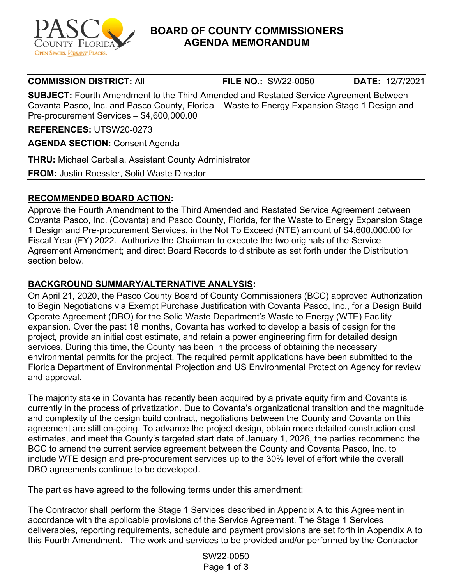

## **BOARD OF COUNTY COMMISSIONERS AGENDA MEMORANDUM**

**COMMISSION DISTRICT:** All **FILE NO.:** SW22-0050 **DATE:** 12/7/2021

**SUBJECT:** Fourth Amendment to the Third Amended and Restated Service Agreement Between Covanta Pasco, Inc. and Pasco County, Florida – Waste to Energy Expansion Stage 1 Design and Pre-procurement Services – \$4,600,000.00

**REFERENCES:** UTSW20-0273

**AGENDA SECTION:** Consent Agenda

**THRU:** Michael Carballa, Assistant County Administrator

**FROM:** Justin Roessler, Solid Waste Director

#### **RECOMMENDED BOARD ACTION:**

Approve the Fourth Amendment to the Third Amended and Restated Service Agreement between Covanta Pasco, Inc. (Covanta) and Pasco County, Florida, for the Waste to Energy Expansion Stage 1 Design and Pre-procurement Services, in the Not To Exceed (NTE) amount of \$4,600,000.00 for Fiscal Year (FY) 2022. Authorize the Chairman to execute the two originals of the Service Agreement Amendment; and direct Board Records to distribute as set forth under the Distribution section below.

### **BACKGROUND SUMMARY/ALTERNATIVE ANALYSIS:**

On April 21, 2020, the Pasco County Board of County Commissioners (BCC) approved Authorization to Begin Negotiations via Exempt Purchase Justification with Covanta Pasco, Inc., for a Design Build Operate Agreement (DBO) for the Solid Waste Department's Waste to Energy (WTE) Facility expansion. Over the past 18 months, Covanta has worked to develop a basis of design for the project, provide an initial cost estimate, and retain a power engineering firm for detailed design services. During this time, the County has been in the process of obtaining the necessary environmental permits for the project. The required permit applications have been submitted to the Florida Department of Environmental Projection and US Environmental Protection Agency for review and approval.

The majority stake in Covanta has recently been acquired by a private equity firm and Covanta is currently in the process of privatization. Due to Covanta's organizational transition and the magnitude and complexity of the design build contract, negotiations between the County and Covanta on this agreement are still on-going. To advance the project design, obtain more detailed construction cost estimates, and meet the County's targeted start date of January 1, 2026, the parties recommend the BCC to amend the current service agreement between the County and Covanta Pasco, Inc. to include WTE design and pre-procurement services up to the 30% level of effort while the overall DBO agreements continue to be developed.

The parties have agreed to the following terms under this amendment:

The Contractor shall perform the Stage 1 Services described in Appendix A to this Agreement in accordance with the applicable provisions of the Service Agreement. The Stage 1 Services deliverables, reporting requirements, schedule and payment provisions are set forth in Appendix A to this Fourth Amendment. The work and services to be provided and/or performed by the Contractor

> SW22-0050 Page **1** of **3**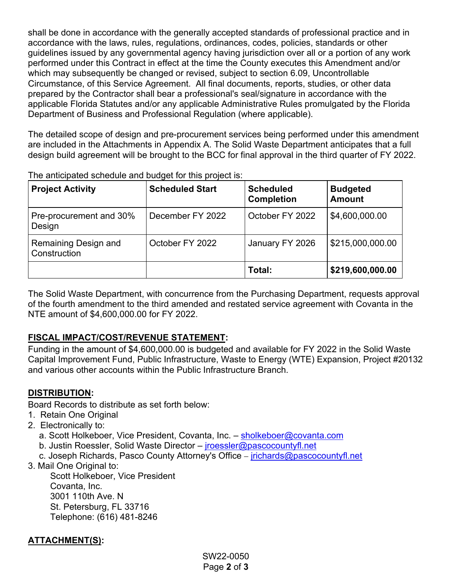shall be done in accordance with the generally accepted standards of professional practice and in accordance with the laws, rules, regulations, ordinances, codes, policies, standards or other guidelines issued by any governmental agency having jurisdiction over all or a portion of any work performed under this Contract in effect at the time the County executes this Amendment and/or which may subsequently be changed or revised, subject to section 6.09, Uncontrollable Circumstance, of this Service Agreement. All final documents, reports, studies, or other data prepared by the Contractor shall bear a professional's seal/signature in accordance with the applicable Florida Statutes and/or any applicable Administrative Rules promulgated by the Florida Department of Business and Professional Regulation (where applicable).

The detailed scope of design and pre-procurement services being performed under this amendment are included in the Attachments in Appendix A. The Solid Waste Department anticipates that a full design build agreement will be brought to the BCC for final approval in the third quarter of FY 2022.

| <b>Project Activity</b>              | <b>Scheduled Start</b> | <b>Scheduled</b><br><b>Completion</b> | <b>Budgeted</b><br><b>Amount</b> |
|--------------------------------------|------------------------|---------------------------------------|----------------------------------|
| Pre-procurement and 30%<br>Design    | December FY 2022       | October FY 2022                       | \$4,600,000.00                   |
| Remaining Design and<br>Construction | October FY 2022        | January FY 2026                       | \$215,000,000.00                 |
|                                      |                        | Total:                                | \$219,600,000.00                 |

The anticipated schedule and budget for this project is:

The Solid Waste Department, with concurrence from the Purchasing Department, requests approval of the fourth amendment to the third amended and restated service agreement with Covanta in the NTE amount of \$4,600,000.00 for FY 2022.

#### **FISCAL IMPACT/COST/REVENUE STATEMENT:**

Funding in the amount of \$4,600,000.00 is budgeted and available for FY 2022 in the Solid Waste Capital Improvement Fund, Public Infrastructure, Waste to Energy (WTE) Expansion, Project #20132 and various other accounts within the Public Infrastructure Branch.

#### **DISTRIBUTION:**

Board Records to distribute as set forth below:

- 1. Retain One Original
- 2. Electronically to:
	- a. Scott Holkeboer, Vice President, Covanta, Inc. - [sholkeboer@covanta.com](mailto:sholkeboer@covanta.com)
	- b. Justin Roessler, Solid Waste Director *[jroessler@pascocountyfl.net](mailto:jroessler@pascocountyfl.net)*
	- c. Joseph Richards, Pasco County Attorney's Office [jrichards@pascocountyfl.net](mailto:jrichards@pascocountyfl.net)
- 3. Mail One Original to:

Scott Holkeboer, Vice President Covanta, Inc. 3001 110th Ave. N St. Petersburg, FL 33716 Telephone: (616) 481-8246

# **ATTACHMENT(S):**